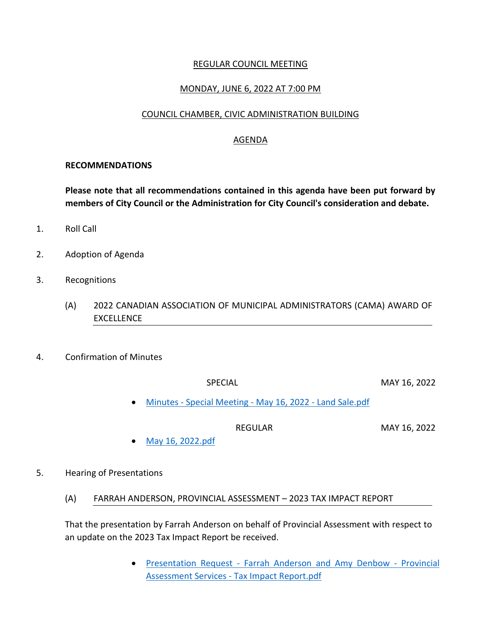## REGULAR COUNCIL MEETING

## MONDAY, JUNE 6, 2022 AT 7:00 PM

### COUNCIL CHAMBER, CIVIC ADMINISTRATION BUILDING

# AGENDA

#### **RECOMMENDATIONS**

**Please note that all recommendations contained in this agenda have been put forward by members of City Council or the Administration for City Council's consideration and debate.**

- 1. Roll Call
- 2. Adoption of Agenda
- 3. Recognitions
	- (A) 2022 CANADIAN ASSOCIATION OF MUNICIPAL ADMINISTRATORS (CAMA) AWARD OF **EXCELLENCE**
- 4. Confirmation of Minutes

SPECIAL MAY 16, 2022

Minutes - [Special Meeting -](https://paperlesscouncil.brandon.ca/attachments/A_2022/COM_VYELFRNIAEEOQSDJPTMZQKIRHQLYRMQHUHONNPVVZBPEEYJQIKO_Minutes%20-%20Special%20Meeting%20-%20May%2016,%202022%20-%20Land%20Sale.pdf) May 16, 2022 - Land Sale.pdf

REGULAR MAY 16, 2022

- [May 16, 2022.pdf](https://paperlesscouncil.brandon.ca/attachments/A_2022/COM_HMXQECSYTHBXSPKAVVKCNSALFLLWCXUOHECOLLCXENKHIZAOFSN_May%2016,%202022.pdf)
- 5. Hearing of Presentations
	- (A) FARRAH ANDERSON, PROVINCIAL ASSESSMENT 2023 TAX IMPACT REPORT

That the presentation by Farrah Anderson on behalf of Provincial Assessment with respect to an update on the 2023 Tax Impact Report be received.

> **•** Presentation Request - [Farrah Anderson and Amy Denbow -](https://paperlesscouncil.brandon.ca/attachments/A_2022/HOP_OSHBWJJPLCHUNFOHXETOTJSTVZDWNXXPWVKLYCOULNZYFEQDBXX_Presentation%20Request%20-%20Farrah%20Anderson%20and%20Amy%20Denbow%20-%20Provincial%20Assessment%20Services%20-%20Tax%20Impact%20Report.pdf) Provincial Assessment Services - [Tax Impact Report.pdf](https://paperlesscouncil.brandon.ca/attachments/A_2022/HOP_OSHBWJJPLCHUNFOHXETOTJSTVZDWNXXPWVKLYCOULNZYFEQDBXX_Presentation%20Request%20-%20Farrah%20Anderson%20and%20Amy%20Denbow%20-%20Provincial%20Assessment%20Services%20-%20Tax%20Impact%20Report.pdf)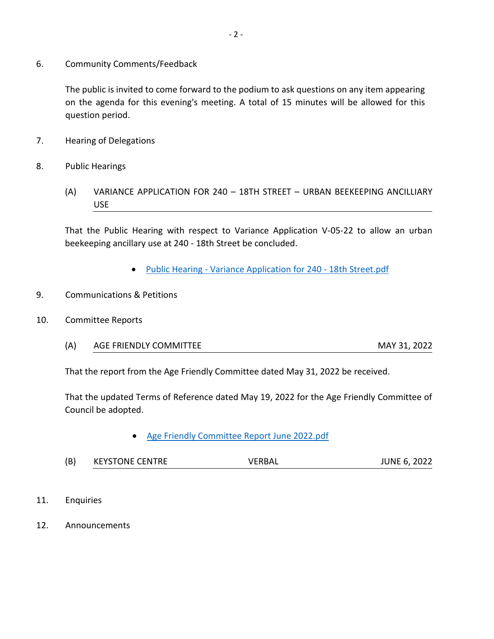6. Community Comments/Feedback

The public is invited to come forward to the podium to ask questions on any item appearing on the agenda for this evening's meeting. A total of 15 minutes will be allowed for this question period.

- 7. Hearing of Delegations
- 8. Public Hearings
	- (A) VARIANCE APPLICATION FOR 240 18TH STREET URBAN BEEKEEPING ANCILLIARY USE

That the Public Hearing with respect to Variance Application V-05-22 to allow an urban beekeeping ancillary use at 240 - 18th Street be concluded.

- Public Hearing [Variance Application for 240 -](https://paperlesscouncil.brandon.ca/attachments/A_2022/PUB_EEOLRNMUHUGVWAUWJODLBTQRIIYSRBTLDTQIJOJFOXKIWPGWVNB_Public%20Hearing%20-%20Variance%20Application%20for%20240%20-%2018th%20Street.pdf) 18th Street.pdf
- 9. Communications & Petitions
- 10. Committee Reports
	- (A) AGE FRIENDLY COMMITTEE MAY 31, 2022

That the report from the Age Friendly Committee dated May 31, 2022 be received.

That the updated Terms of Reference dated May 19, 2022 for the Age Friendly Committee of Council be adopted.

- [Age Friendly Committee Report June 2022.pdf](https://paperlesscouncil.brandon.ca/attachments/A_2022/REP_JOBQUMSCVRBNKTNANWMAPUIITPNFHFTFLBPDNARTCJQFMWUQHVT_Age%20Friendly%20Committee%20Report%20June%202022.pdf)
- (B) KEYSTONE CENTRE VERBAL JUNE 6, 2022
- 11. Enquiries
- 12. Announcements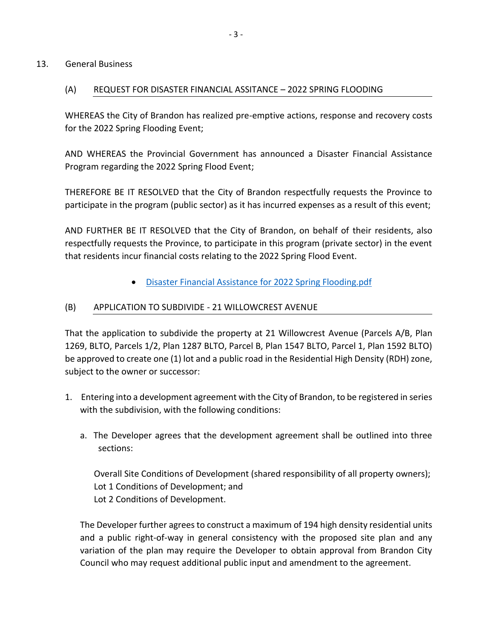## 13. General Business

## (A) REQUEST FOR DISASTER FINANCIAL ASSITANCE – 2022 SPRING FLOODING

WHEREAS the City of Brandon has realized pre-emptive actions, response and recovery costs for the 2022 Spring Flooding Event;

AND WHEREAS the Provincial Government has announced a Disaster Financial Assistance Program regarding the 2022 Spring Flood Event;

THEREFORE BE IT RESOLVED that the City of Brandon respectfully requests the Province to participate in the program (public sector) as it has incurred expenses as a result of this event;

AND FURTHER BE IT RESOLVED that the City of Brandon, on behalf of their residents, also respectfully requests the Province, to participate in this program (private sector) in the event that residents incur financial costs relating to the 2022 Spring Flood Event.

[Disaster Financial Assistance for 2022 Spring Flooding.pdf](https://paperlesscouncil.brandon.ca/attachments/A_2022/GEN_TQFEVPYBWWPGZHOCJOTGTUNDPLAYDMYBCJGVYBIUHGECRNVPNLW_Disaster%20Financial%20Assistance%20for%202022%20Spring%20Flooding.pdf)

## (B) APPLICATION TO SUBDIVIDE - 21 WILLOWCREST AVENUE

That the application to subdivide the property at 21 Willowcrest Avenue (Parcels A/B, Plan 1269, BLTO, Parcels 1/2, Plan 1287 BLTO, Parcel B, Plan 1547 BLTO, Parcel 1, Plan 1592 BLTO) be approved to create one (1) lot and a public road in the Residential High Density (RDH) zone, subject to the owner or successor:

- 1. Entering into a development agreement with the City of Brandon, to be registered in series with the subdivision, with the following conditions:
	- a. The Developer agrees that the development agreement shall be outlined into three sections:

Overall Site Conditions of Development (shared responsibility of all property owners); Lot 1 Conditions of Development; and Lot 2 Conditions of Development.

The Developer further agrees to construct a maximum of 194 high density residential units and a public right-of-way in general consistency with the proposed site plan and any variation of the plan may require the Developer to obtain approval from Brandon City Council who may request additional public input and amendment to the agreement.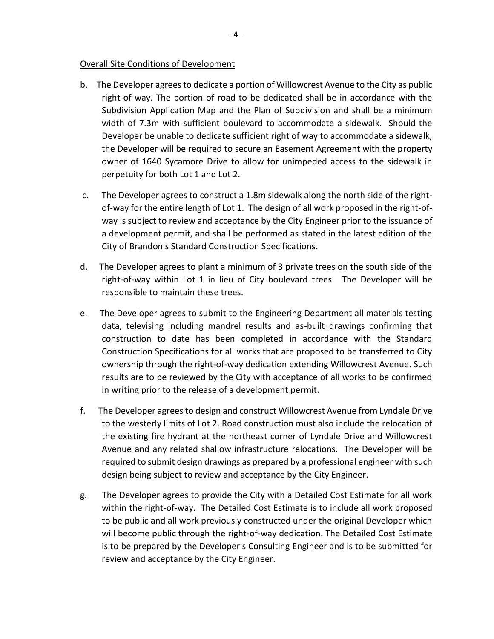#### Overall Site Conditions of Development

- b. The Developer agrees to dedicate a portion of Willowcrest Avenue to the City as public right-of way. The portion of road to be dedicated shall be in accordance with the Subdivision Application Map and the Plan of Subdivision and shall be a minimum width of 7.3m with sufficient boulevard to accommodate a sidewalk. Should the Developer be unable to dedicate sufficient right of way to accommodate a sidewalk, the Developer will be required to secure an Easement Agreement with the property owner of 1640 Sycamore Drive to allow for unimpeded access to the sidewalk in perpetuity for both Lot 1 and Lot 2.
- c. The Developer agrees to construct a 1.8m sidewalk along the north side of the rightof-way for the entire length of Lot 1. The design of all work proposed in the right-ofway is subject to review and acceptance by the City Engineer prior to the issuance of a development permit, and shall be performed as stated in the latest edition of the City of Brandon's Standard Construction Specifications.
- d. The Developer agrees to plant a minimum of 3 private trees on the south side of the right-of-way within Lot 1 in lieu of City boulevard trees. The Developer will be responsible to maintain these trees.
- e. The Developer agrees to submit to the Engineering Department all materials testing data, televising including mandrel results and as-built drawings confirming that construction to date has been completed in accordance with the Standard Construction Specifications for all works that are proposed to be transferred to City ownership through the right-of-way dedication extending Willowcrest Avenue. Such results are to be reviewed by the City with acceptance of all works to be confirmed in writing prior to the release of a development permit.
- f. The Developer agrees to design and construct Willowcrest Avenue from Lyndale Drive to the westerly limits of Lot 2. Road construction must also include the relocation of the existing fire hydrant at the northeast corner of Lyndale Drive and Willowcrest Avenue and any related shallow infrastructure relocations. The Developer will be required to submit design drawings as prepared by a professional engineer with such design being subject to review and acceptance by the City Engineer.
- g. The Developer agrees to provide the City with a Detailed Cost Estimate for all work within the right-of-way. The Detailed Cost Estimate is to include all work proposed to be public and all work previously constructed under the original Developer which will become public through the right-of-way dedication. The Detailed Cost Estimate is to be prepared by the Developer's Consulting Engineer and is to be submitted for review and acceptance by the City Engineer.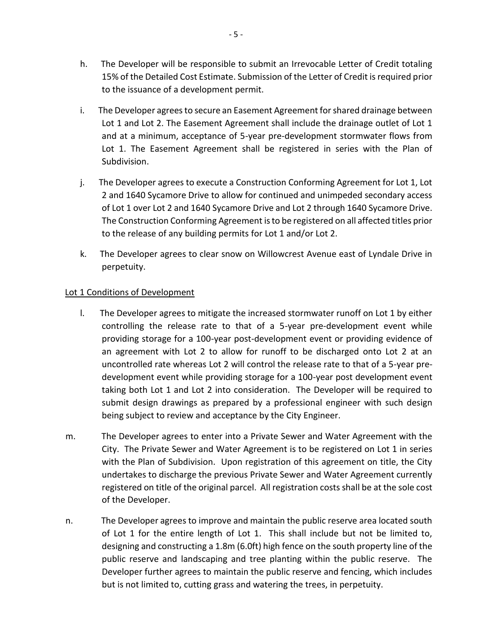- h. The Developer will be responsible to submit an Irrevocable Letter of Credit totaling 15% of the Detailed Cost Estimate. Submission of the Letter of Credit is required prior to the issuance of a development permit.
- i. The Developer agrees to secure an Easement Agreement for shared drainage between Lot 1 and Lot 2. The Easement Agreement shall include the drainage outlet of Lot 1 and at a minimum, acceptance of 5-year pre-development stormwater flows from Lot 1. The Easement Agreement shall be registered in series with the Plan of Subdivision.
- j. The Developer agrees to execute a Construction Conforming Agreement for Lot 1, Lot 2 and 1640 Sycamore Drive to allow for continued and unimpeded secondary access of Lot 1 over Lot 2 and 1640 Sycamore Drive and Lot 2 through 1640 Sycamore Drive. The Construction Conforming Agreement is to be registered on all affected titles prior to the release of any building permits for Lot 1 and/or Lot 2.
- k. The Developer agrees to clear snow on Willowcrest Avenue east of Lyndale Drive in perpetuity.

# Lot 1 Conditions of Development

- l. The Developer agrees to mitigate the increased stormwater runoff on Lot 1 by either controlling the release rate to that of a 5-year pre-development event while providing storage for a 100-year post-development event or providing evidence of an agreement with Lot 2 to allow for runoff to be discharged onto Lot 2 at an uncontrolled rate whereas Lot 2 will control the release rate to that of a 5-year predevelopment event while providing storage for a 100-year post development event taking both Lot 1 and Lot 2 into consideration. The Developer will be required to submit design drawings as prepared by a professional engineer with such design being subject to review and acceptance by the City Engineer.
- m. The Developer agrees to enter into a Private Sewer and Water Agreement with the City. The Private Sewer and Water Agreement is to be registered on Lot 1 in series with the Plan of Subdivision. Upon registration of this agreement on title, the City undertakes to discharge the previous Private Sewer and Water Agreement currently registered on title of the original parcel. All registration costs shall be at the sole cost of the Developer.
- n. The Developer agrees to improve and maintain the public reserve area located south of Lot 1 for the entire length of Lot 1. This shall include but not be limited to, designing and constructing a 1.8m (6.0ft) high fence on the south property line of the public reserve and landscaping and tree planting within the public reserve. The Developer further agrees to maintain the public reserve and fencing, which includes but is not limited to, cutting grass and watering the trees, in perpetuity.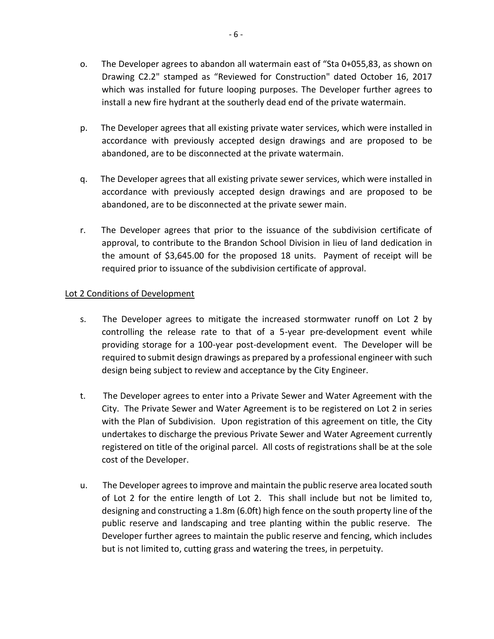- o. The Developer agrees to abandon all watermain east of "Sta 0+055,83, as shown on Drawing C2.2" stamped as "Reviewed for Construction" dated October 16, 2017 which was installed for future looping purposes. The Developer further agrees to install a new fire hydrant at the southerly dead end of the private watermain.
- p. The Developer agrees that all existing private water services, which were installed in accordance with previously accepted design drawings and are proposed to be abandoned, are to be disconnected at the private watermain.
- q. The Developer agrees that all existing private sewer services, which were installed in accordance with previously accepted design drawings and are proposed to be abandoned, are to be disconnected at the private sewer main.
- r. The Developer agrees that prior to the issuance of the subdivision certificate of approval, to contribute to the Brandon School Division in lieu of land dedication in the amount of \$3,645.00 for the proposed 18 units. Payment of receipt will be required prior to issuance of the subdivision certificate of approval.

# Lot 2 Conditions of Development

- s. The Developer agrees to mitigate the increased stormwater runoff on Lot 2 by controlling the release rate to that of a 5-year pre-development event while providing storage for a 100-year post-development event. The Developer will be required to submit design drawings as prepared by a professional engineer with such design being subject to review and acceptance by the City Engineer.
- t. The Developer agrees to enter into a Private Sewer and Water Agreement with the City. The Private Sewer and Water Agreement is to be registered on Lot 2 in series with the Plan of Subdivision. Upon registration of this agreement on title, the City undertakes to discharge the previous Private Sewer and Water Agreement currently registered on title of the original parcel. All costs of registrations shall be at the sole cost of the Developer.
- u. The Developer agrees to improve and maintain the public reserve area located south of Lot 2 for the entire length of Lot 2. This shall include but not be limited to, designing and constructing a 1.8m (6.0ft) high fence on the south property line of the public reserve and landscaping and tree planting within the public reserve. The Developer further agrees to maintain the public reserve and fencing, which includes but is not limited to, cutting grass and watering the trees, in perpetuity.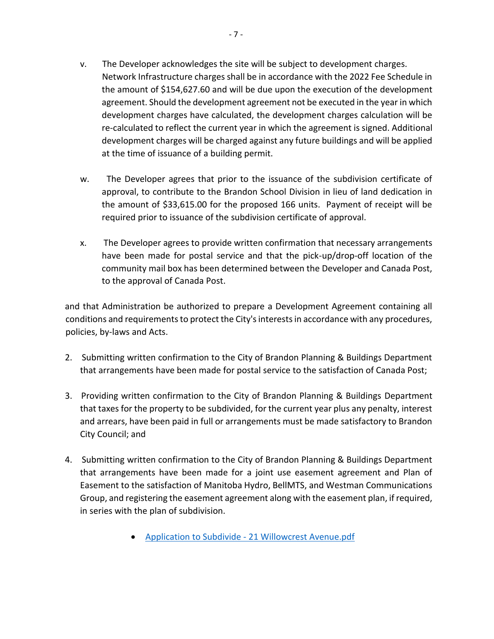- v. The Developer acknowledges the site will be subject to development charges. Network Infrastructure charges shall be in accordance with the 2022 Fee Schedule in the amount of \$154,627.60 and will be due upon the execution of the development agreement. Should the development agreement not be executed in the year in which development charges have calculated, the development charges calculation will be re-calculated to reflect the current year in which the agreement is signed. Additional development charges will be charged against any future buildings and will be applied at the time of issuance of a building permit.
- w. The Developer agrees that prior to the issuance of the subdivision certificate of approval, to contribute to the Brandon School Division in lieu of land dedication in the amount of \$33,615.00 for the proposed 166 units. Payment of receipt will be required prior to issuance of the subdivision certificate of approval.
- x. The Developer agrees to provide written confirmation that necessary arrangements have been made for postal service and that the pick-up/drop-off location of the community mail box has been determined between the Developer and Canada Post, to the approval of Canada Post.

and that Administration be authorized to prepare a Development Agreement containing all conditions and requirements to protect the City's interests in accordance with any procedures, policies, by-laws and Acts.

- 2. Submitting written confirmation to the City of Brandon Planning & Buildings Department that arrangements have been made for postal service to the satisfaction of Canada Post;
- 3. Providing written confirmation to the City of Brandon Planning & Buildings Department that taxes for the property to be subdivided, for the current year plus any penalty, interest and arrears, have been paid in full or arrangements must be made satisfactory to Brandon City Council; and
- 4. Submitting written confirmation to the City of Brandon Planning & Buildings Department that arrangements have been made for a joint use easement agreement and Plan of Easement to the satisfaction of Manitoba Hydro, BellMTS, and Westman Communications Group, and registering the easement agreement along with the easement plan, if required, in series with the plan of subdivision.
	- Application to Subdivide [21 Willowcrest Avenue.pdf](https://paperlesscouncil.brandon.ca/attachments/A_2022/GEN_ZAOKZADDTXIZRHSVNLBBOAVXIQDTKILGCXEJJGHLGJBASMAYYKW_Application%20to%20Subdivide%20-%2021%20Willowcrest%20Avenue.pdf)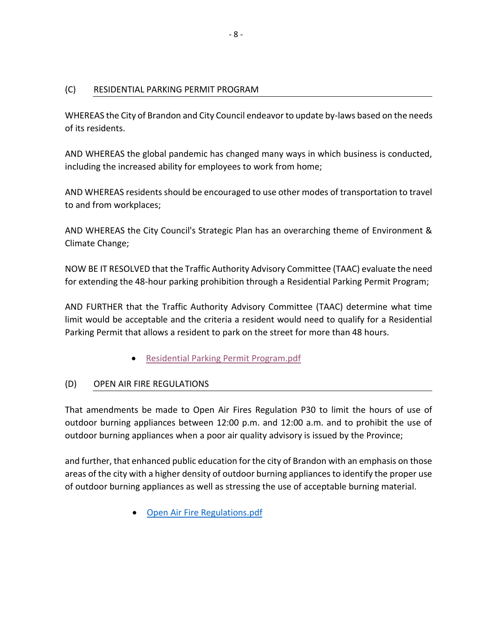# (C) RESIDENTIAL PARKING PERMIT PROGRAM

WHEREAS the City of Brandon and City Council endeavor to update by-laws based on the needs of its residents.

AND WHEREAS the global pandemic has changed many ways in which business is conducted, including the increased ability for employees to work from home;

AND WHEREAS residents should be encouraged to use other modes of transportation to travel to and from workplaces;

AND WHEREAS the City Council's Strategic Plan has an overarching theme of Environment & Climate Change;

NOW BE IT RESOLVED that the Traffic Authority Advisory Committee (TAAC) evaluate the need for extending the 48-hour parking prohibition through a Residential Parking Permit Program;

AND FURTHER that the Traffic Authority Advisory Committee (TAAC) determine what time limit would be acceptable and the criteria a resident would need to qualify for a Residential Parking Permit that allows a resident to park on the street for more than 48 hours.

[Residential Parking Permit Program.pdf](https://paperlesscouncil.brandon.ca/attachments/A_2022/GEN_FLTIBTQEHPDHPVXIZIBPECREZSAEPDTWJLUVXSMKZJLAUCLJWLJ_Residential%20Parking%20Permit%20Program.pdf)

# (D) OPEN AIR FIRE REGULATIONS

That amendments be made to Open Air Fires Regulation P30 to limit the hours of use of outdoor burning appliances between 12:00 p.m. and 12:00 a.m. and to prohibit the use of outdoor burning appliances when a poor air quality advisory is issued by the Province;

and further, that enhanced public education for the city of Brandon with an emphasis on those areas of the city with a higher density of outdoor burning appliances to identify the proper use of outdoor burning appliances as well as stressing the use of acceptable burning material.

[Open Air Fire Regulations.pdf](https://paperlesscouncil.brandon.ca/attachments/A_2022/GEN_TXKGREMJGGZZFQCNUCJFUARLPWJJMHMQUTXIRUNSXQUACXEJZZY_Open%20Air%20Fire%20Regulations.pdf)